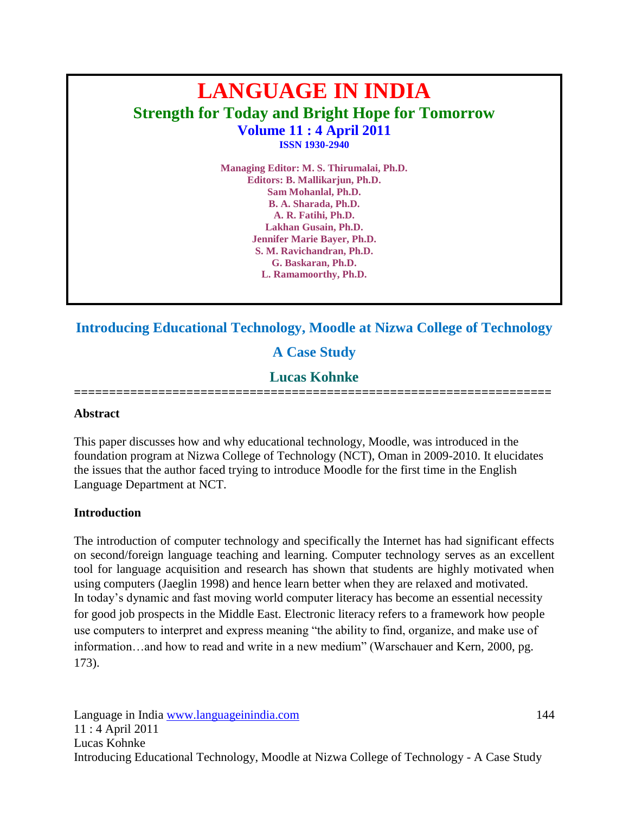# **LANGUAGE IN INDIA Strength for Today and Bright Hope for Tomorrow Volume 11 : 4 April 2011 ISSN 1930-2940**

**Managing Editor: M. S. Thirumalai, Ph.D. Editors: B. Mallikarjun, Ph.D. Sam Mohanlal, Ph.D. B. A. Sharada, Ph.D. A. R. Fatihi, Ph.D. Lakhan Gusain, Ph.D. Jennifer Marie Bayer, Ph.D. S. M. Ravichandran, Ph.D. G. Baskaran, Ph.D. L. Ramamoorthy, Ph.D.**

**Introducing Educational Technology, Moodle at Nizwa College of Technology**

## **A Case Study**

## **Lucas Kohnke**

**====================================================================**

#### **Abstract**

This paper discusses how and why educational technology, Moodle, was introduced in the foundation program at Nizwa College of Technology (NCT), Oman in 2009-2010. It elucidates the issues that the author faced trying to introduce Moodle for the first time in the English Language Department at NCT.

#### **Introduction**

The introduction of computer technology and specifically the Internet has had significant effects on second/foreign language teaching and learning. Computer technology serves as an excellent tool for language acquisition and research has shown that students are highly motivated when using computers (Jaeglin 1998) and hence learn better when they are relaxed and motivated. In today's dynamic and fast moving world computer literacy has become an essential necessity for good job prospects in the Middle East. Electronic literacy refers to a framework how people use computers to interpret and express meaning "the ability to find, organize, and make use of information…and how to read and write in a new medium" (Warschauer and Kern, 2000, pg. 173).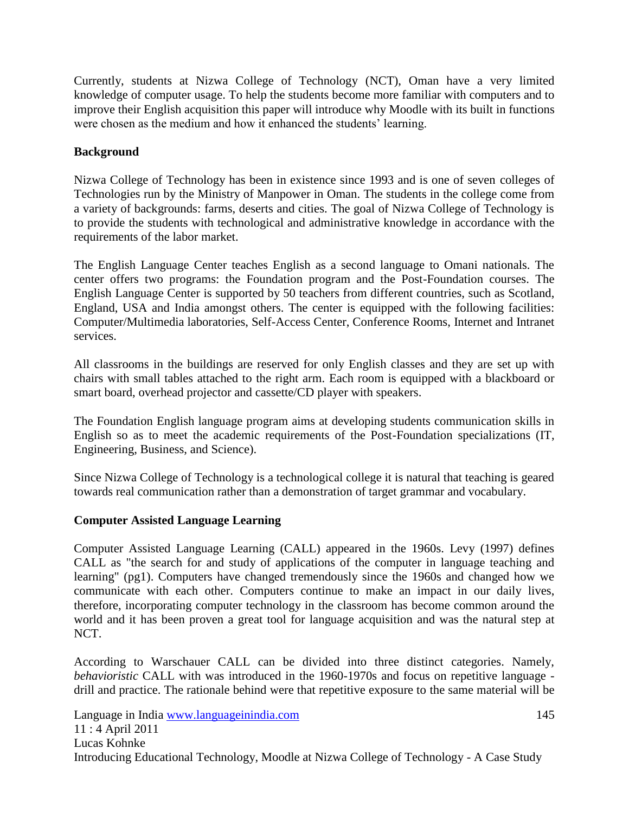Currently, students at Nizwa College of Technology (NCT), Oman have a very limited knowledge of computer usage. To help the students become more familiar with computers and to improve their English acquisition this paper will introduce why Moodle with its built in functions were chosen as the medium and how it enhanced the students' learning.

## **Background**

Nizwa College of Technology has been in existence since 1993 and is one of seven colleges of Technologies run by the Ministry of Manpower in Oman. The students in the college come from a variety of backgrounds: farms, deserts and cities. The goal of Nizwa College of Technology is to provide the students with technological and administrative knowledge in accordance with the requirements of the labor market.

The English Language Center teaches English as a second language to Omani nationals. The center offers two programs: the Foundation program and the Post-Foundation courses. The English Language Center is supported by 50 teachers from different countries, such as Scotland, England, USA and India amongst others. The center is equipped with the following facilities: Computer/Multimedia laboratories, Self-Access Center, Conference Rooms, Internet and Intranet services.

All classrooms in the buildings are reserved for only English classes and they are set up with chairs with small tables attached to the right arm. Each room is equipped with a blackboard or smart board, overhead projector and cassette/CD player with speakers.

The Foundation English language program aims at developing students communication skills in English so as to meet the academic requirements of the Post-Foundation specializations (IT, Engineering, Business, and Science).

Since Nizwa College of Technology is a technological college it is natural that teaching is geared towards real communication rather than a demonstration of target grammar and vocabulary.

### **Computer Assisted Language Learning**

Computer Assisted Language Learning (CALL) appeared in the 1960s. Levy (1997) defines CALL as "the search for and study of applications of the computer in language teaching and learning" (pg1). Computers have changed tremendously since the 1960s and changed how we communicate with each other. Computers continue to make an impact in our daily lives, therefore, incorporating computer technology in the classroom has become common around the world and it has been proven a great tool for language acquisition and was the natural step at NCT.

According to Warschauer CALL can be divided into three distinct categories. Namely, *behavioristic* CALL with was introduced in the 1960-1970s and focus on repetitive language drill and practice. The rationale behind were that repetitive exposure to the same material will be

Language in India www.languageinindia.com 145 11 : 4 April 2011 Lucas Kohnke Introducing Educational Technology, Moodle at Nizwa College of Technology - A Case Study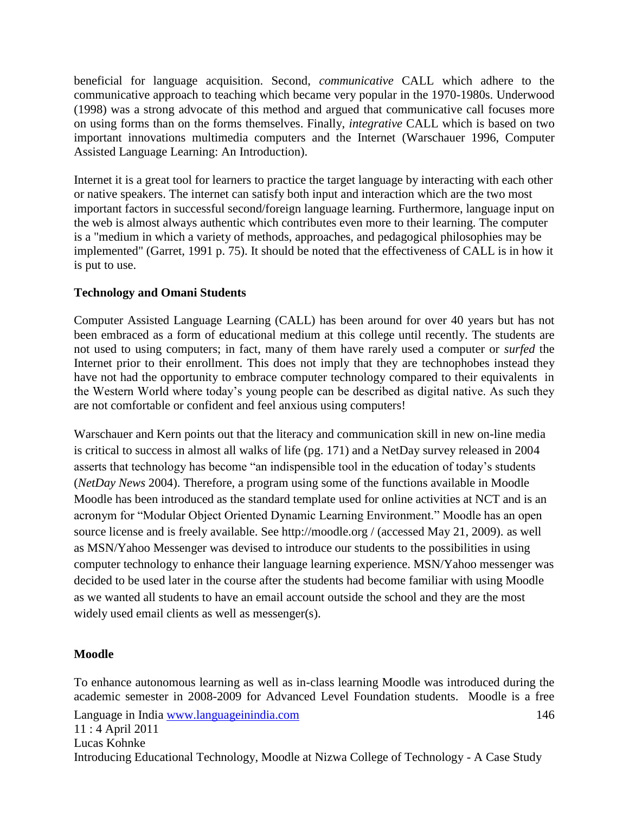beneficial for language acquisition. Second, *communicative* CALL which adhere to the communicative approach to teaching which became very popular in the 1970-1980s. Underwood (1998) was a strong advocate of this method and argued that communicative call focuses more on using forms than on the forms themselves. Finally, *integrative* CALL which is based on two important innovations multimedia computers and the Internet (Warschauer 1996, Computer Assisted Language Learning: An Introduction).

Internet it is a great tool for learners to practice the target language by interacting with each other or native speakers. The internet can satisfy both input and interaction which are the two most important factors in successful second/foreign language learning. Furthermore, language input on the web is almost always authentic which contributes even more to their learning. The computer is a "medium in which a variety of methods, approaches, and pedagogical philosophies may be implemented" (Garret, 1991 p. 75). It should be noted that the effectiveness of CALL is in how it is put to use.

### **Technology and Omani Students**

Computer Assisted Language Learning (CALL) has been around for over 40 years but has not been embraced as a form of educational medium at this college until recently. The students are not used to using computers; in fact, many of them have rarely used a computer or *surfed* the Internet prior to their enrollment. This does not imply that they are technophobes instead they have not had the opportunity to embrace computer technology compared to their equivalents in the Western World where today's young people can be described as digital native. As such they are not comfortable or confident and feel anxious using computers!

Warschauer and Kern points out that the literacy and communication skill in new on-line media is critical to success in almost all walks of life (pg. 171) and a NetDay survey released in 2004 asserts that technology has become "an indispensible tool in the education of today's students (*NetDay News* 2004). Therefore, a program using some of the functions available in Moodle Moodle has been introduced as the standard template used for online activities at NCT and is an acronym for "Modular Object Oriented Dynamic Learning Environment." Moodle has an open source license and is freely available. See http://moodle.org / (accessed May 21, 2009). as well as MSN/Yahoo Messenger was devised to introduce our students to the possibilities in using computer technology to enhance their language learning experience. MSN/Yahoo messenger was decided to be used later in the course after the students had become familiar with using Moodle as we wanted all students to have an email account outside the school and they are the most widely used email clients as well as messenger(s).

### **Moodle**

Language in India www.languageinindia.com 146 11 : 4 April 2011 Lucas Kohnke Introducing Educational Technology, Moodle at Nizwa College of Technology - A Case Study To enhance autonomous learning as well as in-class learning Moodle was introduced during the academic semester in 2008-2009 for Advanced Level Foundation students. Moodle is a free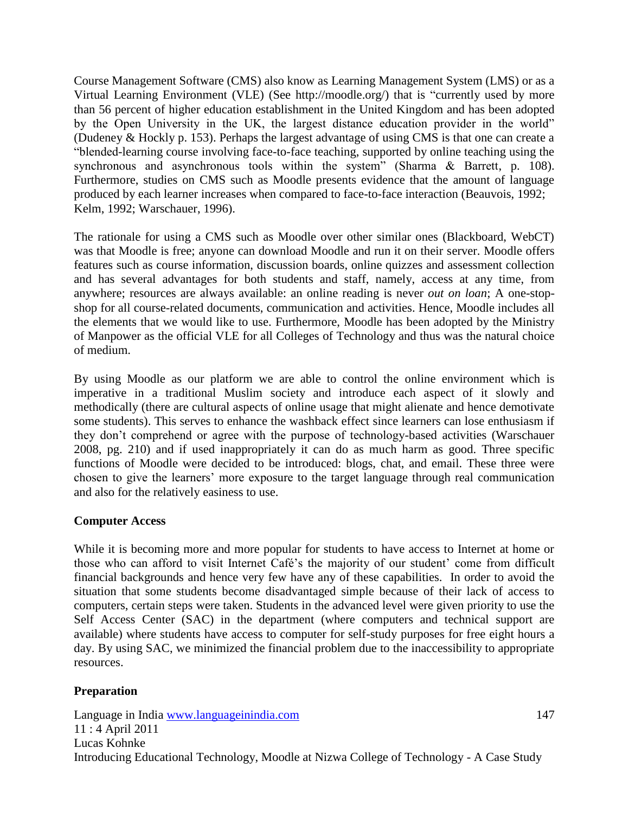Course Management Software (CMS) also know as Learning Management System (LMS) or as a Virtual Learning Environment (VLE) (See [http://moodle.org/\)](http://moodle.org/) that is "currently used by more than 56 percent of higher education establishment in the United Kingdom and has been adopted by the Open University in the UK, the largest distance education provider in the world" (Dudeney & Hockly p. 153). Perhaps the largest advantage of using CMS is that one can create a "blended-learning course involving face-to-face teaching, supported by online teaching using the synchronous and asynchronous tools within the system" (Sharma & Barrett, p. 108). Furthermore, studies on CMS such as Moodle presents evidence that the amount of language produced by each learner increases when compared to face-to-face interaction (Beauvois, 1992; Kelm, 1992; Warschauer, 1996).

The rationale for using a CMS such as Moodle over other similar ones (Blackboard, WebCT) was that Moodle is free; anyone can download Moodle and run it on their server. Moodle offers features such as course information, discussion boards, online quizzes and assessment collection and has several advantages for both students and staff, namely, access at any time, from anywhere; resources are always available: an online reading is never *out on loan*; A one-stopshop for all course-related documents, communication and activities. Hence, Moodle includes all the elements that we would like to use. Furthermore, Moodle has been adopted by the Ministry of Manpower as the official VLE for all Colleges of Technology and thus was the natural choice of medium.

By using Moodle as our platform we are able to control the online environment which is imperative in a traditional Muslim society and introduce each aspect of it slowly and methodically (there are cultural aspects of online usage that might alienate and hence demotivate some students). This serves to enhance the washback effect since learners can lose enthusiasm if they don't comprehend or agree with the purpose of technology-based activities (Warschauer 2008, pg. 210) and if used inappropriately it can do as much harm as good. Three specific functions of Moodle were decided to be introduced: blogs, chat, and email. These three were chosen to give the learners' more exposure to the target language through real communication and also for the relatively easiness to use.

#### **Computer Access**

While it is becoming more and more popular for students to have access to Internet at home or those who can afford to visit Internet Café's the majority of our student' come from difficult financial backgrounds and hence very few have any of these capabilities. In order to avoid the situation that some students become disadvantaged simple because of their lack of access to computers, certain steps were taken. Students in the advanced level were given priority to use the Self Access Center (SAC) in the department (where computers and technical support are available) where students have access to computer for self-study purposes for free eight hours a day. By using SAC, we minimized the financial problem due to the inaccessibility to appropriate resources.

### **Preparation**

Language in India www.languageinindia.com 147 11 : 4 April 2011 Lucas Kohnke Introducing Educational Technology, Moodle at Nizwa College of Technology - A Case Study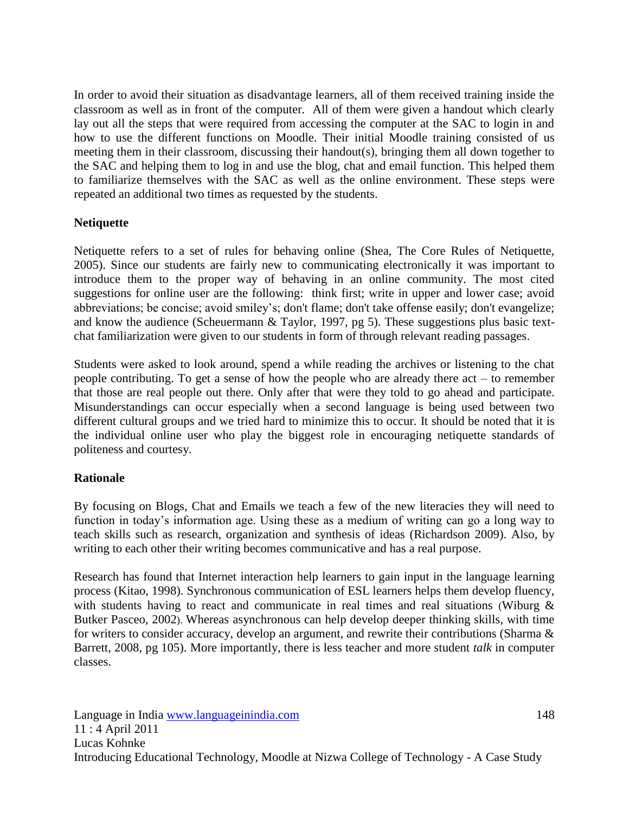In order to avoid their situation as disadvantage learners, all of them received training inside the classroom as well as in front of the computer. All of them were given a handout which clearly lay out all the steps that were required from accessing the computer at the SAC to login in and how to use the different functions on Moodle. Their initial Moodle training consisted of us meeting them in their classroom, discussing their handout(s), bringing them all down together to the SAC and helping them to log in and use the blog, chat and email function. This helped them to familiarize themselves with the SAC as well as the online environment. These steps were repeated an additional two times as requested by the students.

### **Netiquette**

Netiquette refers to a set of rules for behaving online (Shea, The Core Rules of Netiquette, 2005). Since our students are fairly new to communicating electronically it was important to introduce them to the proper way of behaving in an online community. The most cited suggestions for online user are the following: think first; write in upper and lower case; avoid abbreviations; be concise; avoid smiley's; don't flame; don't take offense easily; don't evangelize; and know the audience (Scheuermann & Taylor, 1997, pg 5). These suggestions plus basic textchat familiarization were given to our students in form of through relevant reading passages.

Students were asked to look around, spend a while reading the archives or listening to the chat people contributing. To get a sense of how the people who are already there act – to remember that those are real people out there. Only after that were they told to go ahead and participate. Misunderstandings can occur especially when a second language is being used between two different cultural groups and we tried hard to minimize this to occur. It should be noted that it is the individual online user who play the biggest role in encouraging netiquette standards of politeness and courtesy.

### **Rationale**

By focusing on Blogs, Chat and Emails we teach a few of the new literacies they will need to function in today's information age. Using these as a medium of writing can go a long way to teach skills such as research, organization and synthesis of ideas (Richardson 2009). Also, by writing to each other their writing becomes communicative and has a real purpose.

Research has found that Internet interaction help learners to gain input in the language learning process (Kitao, 1998). Synchronous communication of ESL learners helps them develop fluency, with students having to react and communicate in real times and real situations (Wiburg & Butker Pasceo, 2002). Whereas asynchronous can help develop deeper thinking skills, with time for writers to consider accuracy, develop an argument, and rewrite their contributions (Sharma & Barrett, 2008, pg 105). More importantly, there is less teacher and more student *talk* in computer classes.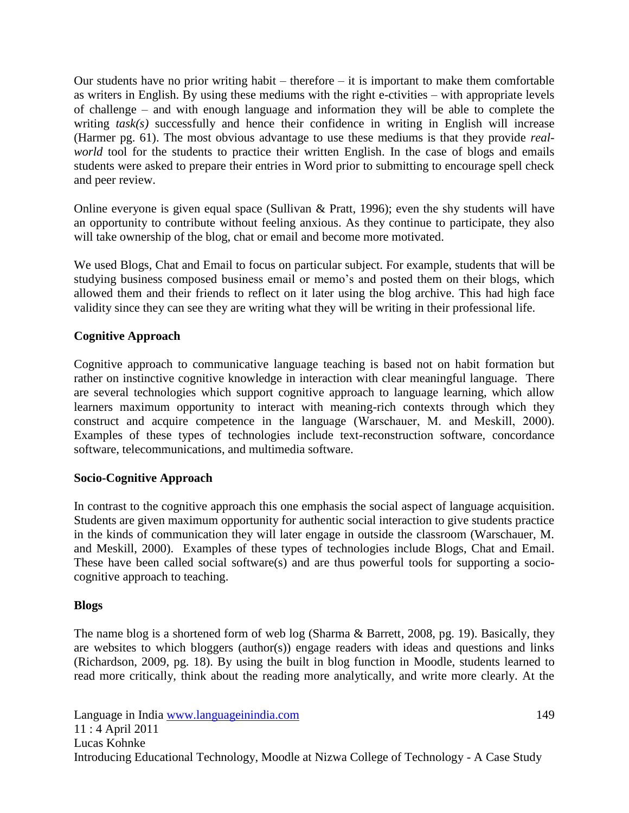Our students have no prior writing habit – therefore – it is important to make them comfortable as writers in English. By using these mediums with the right e-ctivities – with appropriate levels of challenge – and with enough language and information they will be able to complete the writing *task(s)* successfully and hence their confidence in writing in English will increase (Harmer pg. 61). The most obvious advantage to use these mediums is that they provide *realworld* tool for the students to practice their written English. In the case of blogs and emails students were asked to prepare their entries in Word prior to submitting to encourage spell check and peer review.

Online everyone is given equal space (Sullivan & Pratt, 1996); even the shy students will have an opportunity to contribute without feeling anxious. As they continue to participate, they also will take ownership of the blog, chat or email and become more motivated.

We used Blogs, Chat and Email to focus on particular subject. For example, students that will be studying business composed business email or memo's and posted them on their blogs, which allowed them and their friends to reflect on it later using the blog archive. This had high face validity since they can see they are writing what they will be writing in their professional life.

## **Cognitive Approach**

Cognitive approach to communicative language teaching is based not on habit formation but rather on instinctive cognitive knowledge in interaction with clear meaningful language. There are several technologies which support cognitive approach to language learning, which allow learners maximum opportunity to interact with meaning-rich contexts through which they construct and acquire competence in the language (Warschauer, M. and Meskill, 2000). Examples of these types of technologies include text-reconstruction software, concordance software, telecommunications, and multimedia software.

### **Socio-Cognitive Approach**

In contrast to the cognitive approach this one emphasis the social aspect of language acquisition. Students are given maximum opportunity for authentic social interaction to give students practice in the kinds of communication they will later engage in outside the classroom (Warschauer, M. and Meskill, 2000). Examples of these types of technologies include Blogs, Chat and Email. These have been called social software(s) and are thus powerful tools for supporting a sociocognitive approach to teaching.

### **Blogs**

The name blog is a shortened form of web log (Sharma & Barrett, 2008, pg. 19). Basically, they are websites to which bloggers (author(s)) engage readers with ideas and questions and links (Richardson, 2009, pg. 18). By using the built in blog function in Moodle, students learned to read more critically, think about the reading more analytically, and write more clearly. At the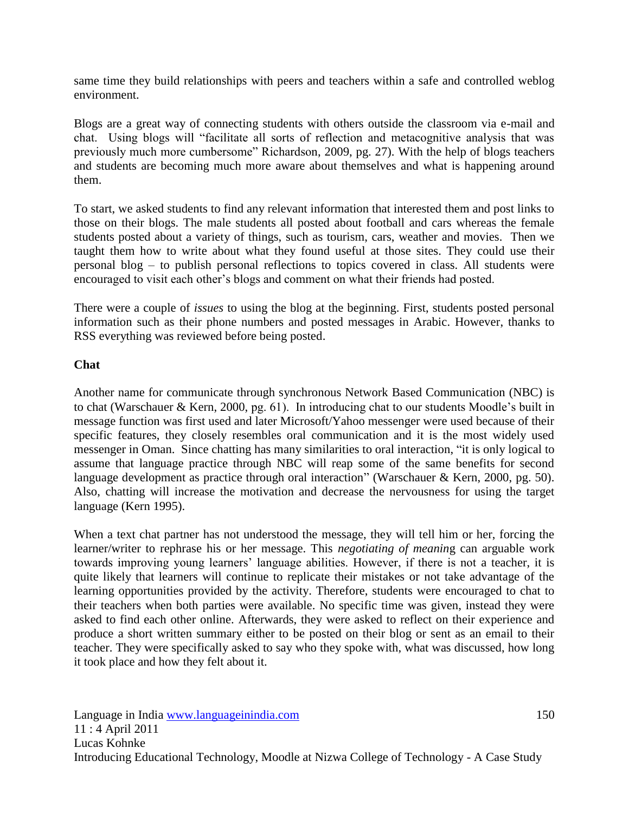same time they build relationships with peers and teachers within a safe and controlled weblog environment.

Blogs are a great way of connecting students with others outside the classroom via e-mail and chat. Using blogs will "facilitate all sorts of reflection and metacognitive analysis that was previously much more cumbersome" Richardson, 2009, pg. 27). With the help of blogs teachers and students are becoming much more aware about themselves and what is happening around them.

To start, we asked students to find any relevant information that interested them and post links to those on their blogs. The male students all posted about football and cars whereas the female students posted about a variety of things, such as tourism, cars, weather and movies. Then we taught them how to write about what they found useful at those sites. They could use their personal blog – to publish personal reflections to topics covered in class. All students were encouraged to visit each other's blogs and comment on what their friends had posted.

There were a couple of *issues* to using the blog at the beginning. First, students posted personal information such as their phone numbers and posted messages in Arabic. However, thanks to RSS everything was reviewed before being posted.

#### **Chat**

Another name for communicate through synchronous Network Based Communication (NBC) is to chat (Warschauer & Kern, 2000, pg. 61). In introducing chat to our students Moodle's built in message function was first used and later Microsoft/Yahoo messenger were used because of their specific features, they closely resembles oral communication and it is the most widely used messenger in Oman. Since chatting has many similarities to oral interaction, "it is only logical to assume that language practice through NBC will reap some of the same benefits for second language development as practice through oral interaction" (Warschauer & Kern, 2000, pg. 50). Also, chatting will increase the motivation and decrease the nervousness for using the target language (Kern 1995).

When a text chat partner has not understood the message, they will tell him or her, forcing the learner/writer to rephrase his or her message. This *negotiating of meanin*g can arguable work towards improving young learners' language abilities. However, if there is not a teacher, it is quite likely that learners will continue to replicate their mistakes or not take advantage of the learning opportunities provided by the activity. Therefore, students were encouraged to chat to their teachers when both parties were available. No specific time was given, instead they were asked to find each other online. Afterwards, they were asked to reflect on their experience and produce a short written summary either to be posted on their blog or sent as an email to their teacher. They were specifically asked to say who they spoke with, what was discussed, how long it took place and how they felt about it.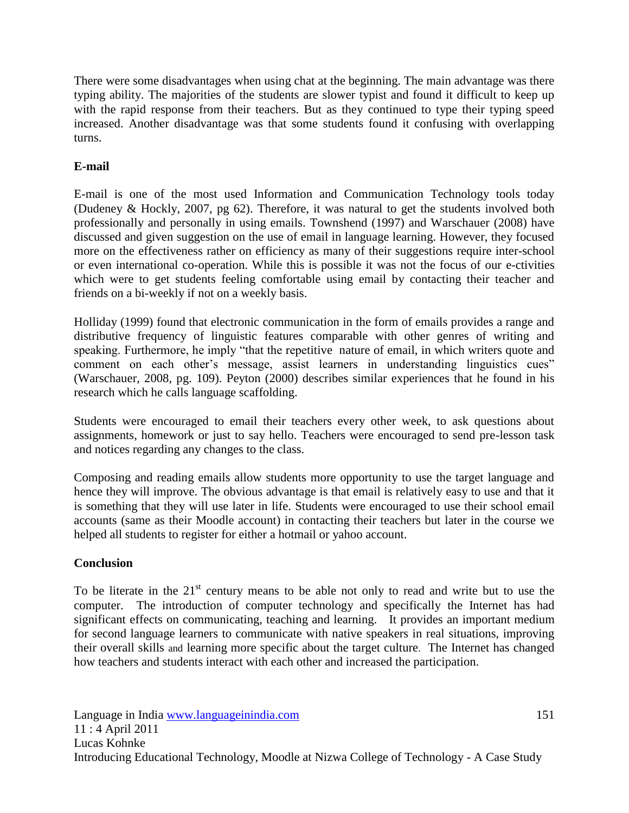There were some disadvantages when using chat at the beginning. The main advantage was there typing ability. The majorities of the students are slower typist and found it difficult to keep up with the rapid response from their teachers. But as they continued to type their typing speed increased. Another disadvantage was that some students found it confusing with overlapping turns.

## **E-mail**

E-mail is one of the most used Information and Communication Technology tools today (Dudeney & Hockly, 2007, pg 62). Therefore, it was natural to get the students involved both professionally and personally in using emails. Townshend (1997) and Warschauer (2008) have discussed and given suggestion on the use of email in language learning. However, they focused more on the effectiveness rather on efficiency as many of their suggestions require inter-school or even international co-operation. While this is possible it was not the focus of our e-ctivities which were to get students feeling comfortable using email by contacting their teacher and friends on a bi-weekly if not on a weekly basis.

Holliday (1999) found that electronic communication in the form of emails provides a range and distributive frequency of linguistic features comparable with other genres of writing and speaking. Furthermore, he imply "that the repetitive nature of email, in which writers quote and comment on each other's message, assist learners in understanding linguistics cues" (Warschauer, 2008, pg. 109). Peyton (2000) describes similar experiences that he found in his research which he calls language scaffolding.

Students were encouraged to email their teachers every other week, to ask questions about assignments, homework or just to say hello. Teachers were encouraged to send pre-lesson task and notices regarding any changes to the class.

Composing and reading emails allow students more opportunity to use the target language and hence they will improve. The obvious advantage is that email is relatively easy to use and that it is something that they will use later in life. Students were encouraged to use their school email accounts (same as their Moodle account) in contacting their teachers but later in the course we helped all students to register for either a hotmail or yahoo account.

### **Conclusion**

To be literate in the  $21<sup>st</sup>$  century means to be able not only to read and write but to use the computer. The introduction of computer technology and specifically the Internet has had significant effects on communicating, teaching and learning. It provides an important medium for second language learners to communicate with native speakers in real situations, improving their overall skills and learning more specific about the target culture. The Internet has changed how teachers and students interact with each other and increased the participation.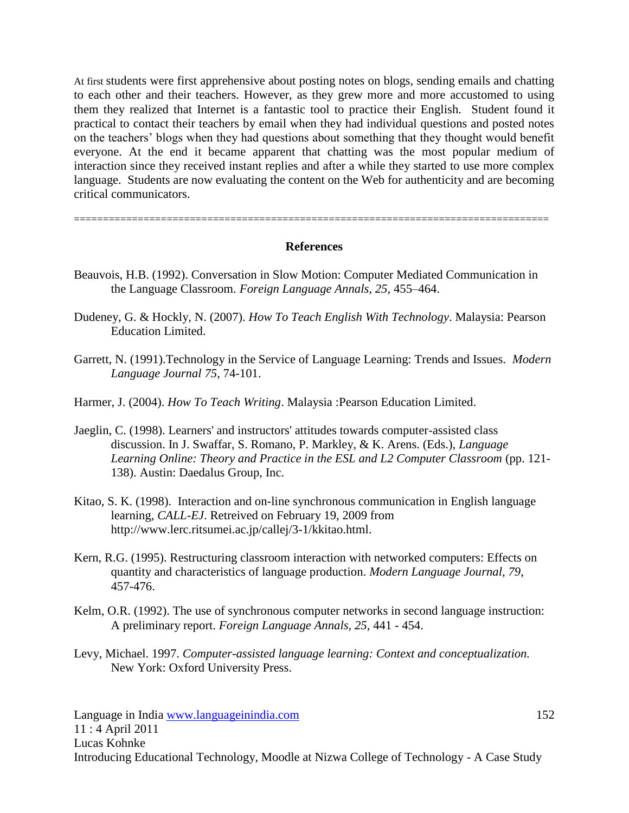At first students were first apprehensive about posting notes on blogs, sending emails and chatting to each other and their teachers. However, as they grew more and more accustomed to using them they realized that Internet is a fantastic tool to practice their English. Student found it practical to contact their teachers by email when they had individual questions and posted notes on the teachers' blogs when they had questions about something that they thought would benefit everyone. At the end it became apparent that chatting was the most popular medium of interaction since they received instant replies and after a while they started to use more complex language. Students are now evaluating the content on the Web for authenticity and are becoming critical communicators.

==================================================================================

#### **References**

- Beauvois, H.B. (1992). Conversation in Slow Motion: Computer Mediated Communication in the Language Classroom. *Foreign Language Annals, 25*, 455–464.
- Dudeney, G. & Hockly, N. (2007). *How To Teach English With Technology*. Malaysia: Pearson Education Limited.
- Garrett, N. (1991).Technology in the Service of Language Learning: Trends and Issues. *Modern Language Journal 75*, 74-101.

Harmer, J. (2004). *How To Teach Writing*. Malaysia :Pearson Education Limited.

- Jaeglin, C. (1998). Learners' and instructors' attitudes towards computer-assisted class discussion. In J. Swaffar, S. Romano, P. Markley, & K. Arens. (Eds.), *Language Learning Online: Theory and Practice in the ESL and L2 Computer Classroom* (pp. 121- 138). Austin: Daedalus Group, Inc.
- Kitao, S. K. (1998). Interaction and on-line synchronous communication in English language learning, *CALL-EJ*. Retreived on February 19, 2009 from [http://www.lerc.ritsumei.ac.jp/callej/3-1/kkitao.html.](http://www.lerc.ritsumei.ac.jp/callej/3-1/kkitao.html)
- Kern, R.G. (1995). Restructuring classroom interaction with networked computers: Effects on quantity and characteristics of language production. *Modern Language Journal, 79*, 457-476.
- Kelm, O.R. (1992). The use of synchronous computer networks in second language instruction: A preliminary report. *Foreign Language Annals, 25*, 441 - 454.
- Levy, Michael. 1997. *Computer-assisted language learning: Context and conceptualization.* New York: Oxford University Press.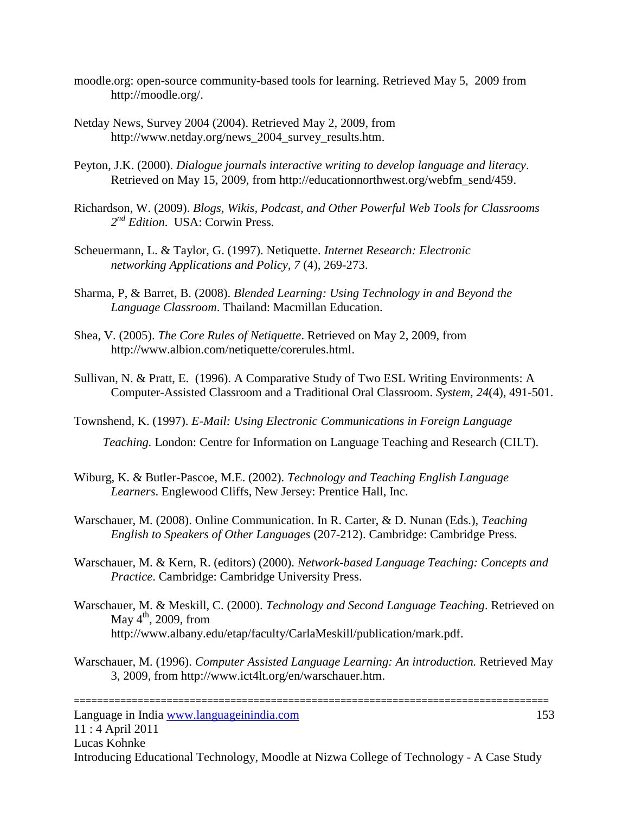- moodle.org: open-source community-based tools for learning. Retrieved May 5, 2009 from [http://moodle.org/.](http://moodle.org/)
- Netday News, Survey 2004 (2004). Retrieved May 2, 2009, from [http://www.netday.org/news\\_2004\\_survey\\_results.htm.](http://www.netday.org/news_2004_survey_results.htm)
- Peyton, J.K. (2000). *Dialogue journals interactive writing to develop language and literacy*. Retrieved on May 15, 2009, from [http://educationnorthwest.org/webfm\\_send/459.](http://educationnorthwest.org/webfm_send/459)
- Richardson, W. (2009). *Blogs, Wikis, Podcast, and Other Powerful Web Tools for Classrooms 2 nd Edition*. USA: Corwin Press.
- Scheuermann, L. & Taylor, G. (1997). Netiquette. *Internet Research: Electronic networking Applications and Policy, 7* (4), 269-273.
- Sharma, P, & Barret, B. (2008). *Blended Learning: Using Technology in and Beyond the Language Classroom*. Thailand: Macmillan Education.
- Shea, V. (2005). *The Core Rules of Netiquette*. Retrieved on May 2, 2009, from [http://www.albion.com/netiquette/corerules.html.](http://www.albion.com/netiquette/corerules.html)
- Sullivan, N. & Pratt, E. (1996). A Comparative Study of Two ESL Writing Environments: A Computer-Assisted Classroom and a Traditional Oral Classroom. *System, 24*(4), 491-501.
- Townshend, K. (1997). *E-Mail: Using Electronic Communications in Foreign Language*

*Teaching.* London: Centre for Information on Language Teaching and Research (CILT).

- Wiburg, K. & Butler-Pascoe, M.E. (2002). *Technology and Teaching English Language Learners*. Englewood Cliffs, New Jersey: Prentice Hall, Inc.
- Warschauer, M. (2008). Online Communication. In R. Carter, & D. Nunan (Eds.), *Teaching English to Speakers of Other Languages* (207-212). Cambridge: Cambridge Press.
- Warschauer, M. & Kern, R. (editors) (2000). *Network-based Language Teaching: Concepts and Practice*. Cambridge: Cambridge University Press.
- Warschauer, M. & Meskill, C. (2000). *Technology and Second Language Teaching*. Retrieved on May  $4^{\text{th}}$ , 2009, from [http://www.albany.edu/etap/faculty/CarlaMeskill/publication/mark.pdf.](http://www.albany.edu/etap/faculty/CarlaMeskill/publication/mark.pdf)
- Warschauer, M. (1996). *Computer Assisted Language Learning: An introduction.* Retrieved May 3, 2009, from [http://www.ict4lt.org/en/warschauer.htm.](http://www.ict4lt.org/en/warschauer.htm)

Language in India www.languageinindia.com 153 11 : 4 April 2011 Lucas Kohnke Introducing Educational Technology, Moodle at Nizwa College of Technology - A Case Study

==================================================================================